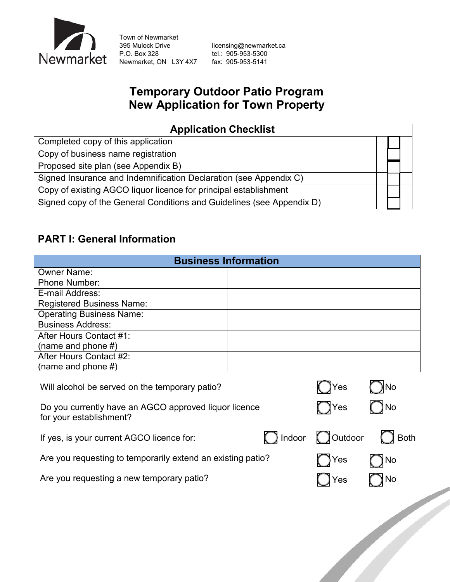

Town of Newmarket<br>395 Mulock Drive Newmarket, ON L3Y 4X7

395 Mulock Drive [licensing@newmarket.ca](mailto:licensing@newmarket.ca)<br>
P.O. Box 328 el.: 905-953-5300 tel.: 905-953-5300<br>fax: 905-953-5141

# **Temporary Outdoor Patio Program New Application for Town Property**

| <b>Application Checklist</b>                                          |  |  |  |  |
|-----------------------------------------------------------------------|--|--|--|--|
| Completed copy of this application                                    |  |  |  |  |
| Copy of business name registration                                    |  |  |  |  |
| Proposed site plan (see Appendix B)                                   |  |  |  |  |
| Signed Insurance and Indemnification Declaration (see Appendix C)     |  |  |  |  |
| Copy of existing AGCO liquor licence for principal establishment      |  |  |  |  |
| Signed copy of the General Conditions and Guidelines (see Appendix D) |  |  |  |  |

## **PART I: General Information**

| <b>Business Information</b>                                                      |        |         |      |  |  |
|----------------------------------------------------------------------------------|--------|---------|------|--|--|
| <b>Owner Name:</b>                                                               |        |         |      |  |  |
| <b>Phone Number:</b>                                                             |        |         |      |  |  |
| E-mail Address:                                                                  |        |         |      |  |  |
| <b>Registered Business Name:</b>                                                 |        |         |      |  |  |
| <b>Operating Business Name:</b>                                                  |        |         |      |  |  |
| <b>Business Address:</b>                                                         |        |         |      |  |  |
| After Hours Contact #1:                                                          |        |         |      |  |  |
| (name and phone #)                                                               |        |         |      |  |  |
| After Hours Contact #2:                                                          |        |         |      |  |  |
| (name and phone $#$ )                                                            |        |         |      |  |  |
| Will alcohol be served on the temporary patio?                                   |        | Yes     | )∣No |  |  |
| Do you currently have an AGCO approved liquor licence<br>for your establishment? |        | ◯ Yes   | ∖No  |  |  |
| If yes, is your current AGCO licence for:                                        | Indoor | Outdoor | Both |  |  |
| Are you requesting to temporarily extend an existing patio?                      |        | Yes     | No   |  |  |
| Are you requesting a new temporary patio?                                        | Yes    | No      |      |  |  |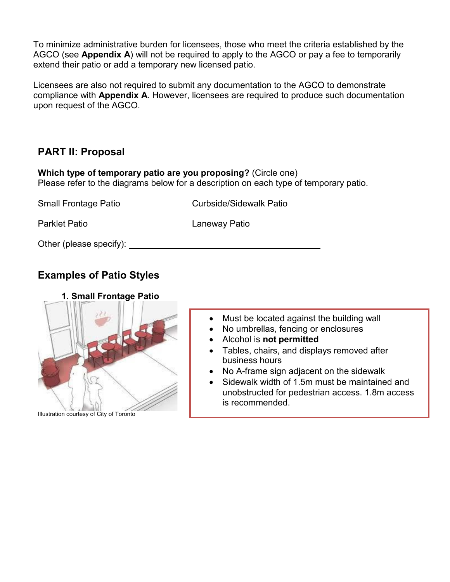To minimize administrative burden for licensees, those who meet the criteria established by the AGCO (see **Appendix A**) will not be required to apply to the AGCO or pay a fee to temporarily extend their patio or add a temporary new licensed patio.

Licensees are also not required to submit any documentation to the AGCO to demonstrate compliance with **Appendix A**. However, licensees are required to produce such documentation upon request of the AGCO.

## **PART II: Proposal**

**Which type of temporary patio are you proposing?** (Circle one) Please refer to the diagrams below for a description on each type of temporary patio.

| <b>Small Frontage Patio</b> | <b>Curbside/Sidewalk Patio</b> |
|-----------------------------|--------------------------------|
| <b>Parklet Patio</b>        | Laneway Patio                  |
| Other (please specify):     |                                |

# **Examples of Patio Styles**



Illustration courtesy of City of Toronto

- Must be located against the building wall
- No umbrellas, fencing or enclosures
- Alcohol is **not permitted**
- Tables, chairs, and displays removed after business hours
- No A-frame sign adjacent on the sidewalk
- Sidewalk width of 1.5m must be maintained and unobstructed for pedestrian access. 1.8m access is recommended.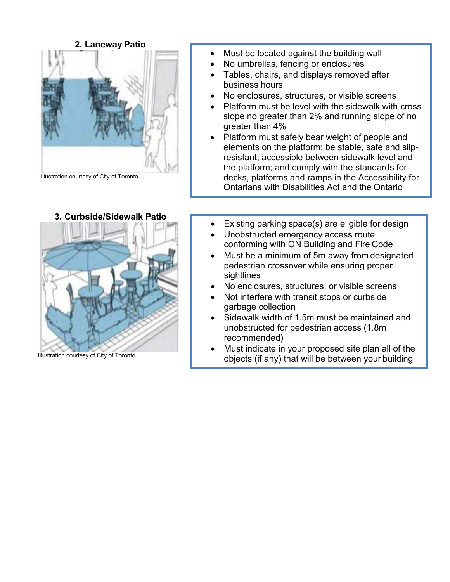

Illustration courtesy of City of Toronto



**3. Curbside/Sidewalk Patio**

Illustration courtesy of City of Toronto

- Must be located against the building wall
- No umbrellas, fencing or enclosures
- Tables, chairs, and displays removed after business hours
- No enclosures, structures, or visible screens
- Platform must be level with the sidewalk with cross slope no greater than 2% and running slope of no greater than 4%
- Platform must safely bear weight of people and elements on the platform; be stable, safe and slipresistant; accessible between sidewalk level and the platform; and comply with the standards for decks, platforms and ramps in the Accessibility for Ontarians with Disabilities Act and the Ontario
- Existing parking space(s) are eligible for design
- Unobstructed emergency access route conforming with ON Building and Fire Code
- Must be a minimum of 5m away from designated pedestrian crossover while ensuring proper sightlines
- No enclosures, structures, or visible screens
- Not interfere with transit stops or curbside garbage collection
- Sidewalk width of 1.5m must be maintained and unobstructed for pedestrian access (1.8m recommended)
- Must indicate in your proposed site plan all of the objects (if any) that will be between your building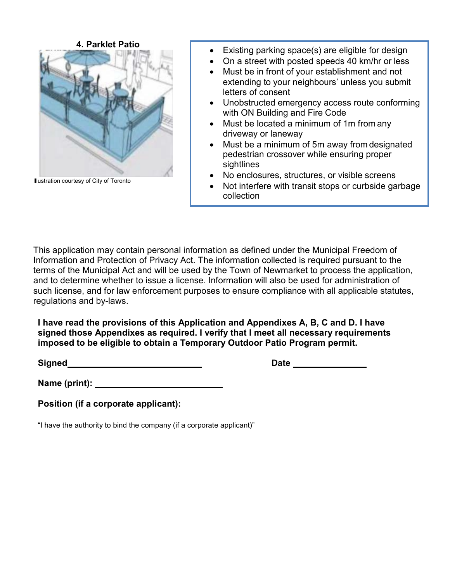

Illustration courtesy of City of Toronto

- Existing parking space(s) are eligible for design
- On a street with posted speeds 40 km/hr or less
- Must be in front of your establishment and not extending to your neighbours' unless you submit letters of consent
- Unobstructed emergency access route conforming with ON Building and Fire Code
- Must be located a minimum of 1m from any driveway or laneway
- Must be a minimum of 5m away from designated pedestrian crossover while ensuring proper sightlines
- No enclosures, structures, or visible screens
- Not interfere with transit stops or curbside garbage collection

This application may contain personal information as defined under the Municipal Freedom of Information and Protection of Privacy Act. The information collected is required pursuant to the terms of the Municipal Act and will be used by the Town of Newmarket to process the application, and to determine whether to issue a license. Information will also be used for administration of such license, and for law enforcement purposes to ensure compliance with all applicable statutes, regulations and by-laws.

**I have read the provisions of this Application and Appendixes A, B, C and D. I have signed those Appendixes as required. I verify that I meet all necessary requirements imposed to be eligible to obtain a Temporary Outdoor Patio Program permit.**

**Signed** Date **Date** Date **Date** Date **Date** Date **Date** 

**Name (print):** 

**Position (if a corporate applicant):**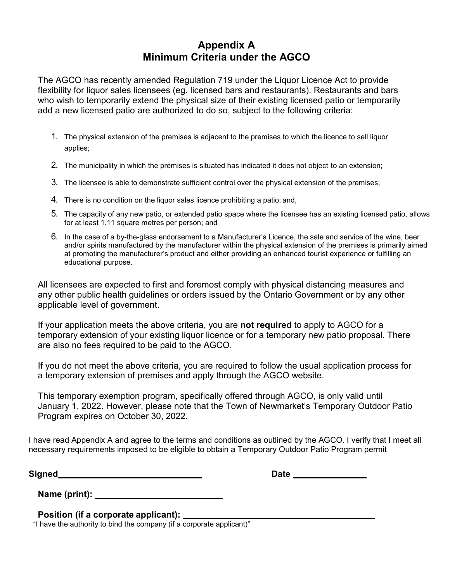### **Appendix A Minimum Criteria under the AGCO**

The AGCO has recently amended Regulation 719 under the Liquor Licence Act to provide flexibility for liquor sales licensees (eg. licensed bars and restaurants). Restaurants and bars who wish to temporarily extend the physical size of their existing licensed patio or temporarily add a new licensed patio are authorized to do so, subject to the following criteria:

- 1. The physical extension of the premises is adjacent to the premises to which the licence to sell liquor applies;
- 2. The municipality in which the premises is situated has indicated it does not object to an extension;
- 3. The licensee is able to demonstrate sufficient control over the physical extension of the premises;
- 4. There is no condition on the liquor sales licence prohibiting a patio; and,
- 5. The capacity of any new patio, or extended patio space where the licensee has an existing licensed patio, allows for at least 1.11 square metres per person; and
- 6. In the case of a by-the-glass endorsement to a Manufacturer's Licence, the sale and service of the wine, beer and/or spirits manufactured by the manufacturer within the physical extension of the premises is primarily aimed at promoting the manufacturer's product and either providing an enhanced tourist experience or fulfilling an educational purpose.

All licensees are expected to first and foremost comply with physical distancing measures and any other public health guidelines or orders issued by the Ontario Government or by any other applicable level of government.

If your application meets the above criteria, you are **not required** to apply to AGCO for a temporary extension of your existing liquor licence or for a temporary new patio proposal. There are also no fees required to be paid to the AGCO.

If you do not meet the above criteria, you are required to follow the usual application process for a temporary extension of premises and apply through the AGCO website.

This temporary exemption program, specifically offered through AGCO, is only valid until January 1, 2022. However, please note that the Town of Newmarket's Temporary Outdoor Patio Program expires on October 30, 2022.

I have read Appendix A and agree to the terms and conditions as outlined by the AGCO. I verify that I meet all necessary requirements imposed to be eligible to obtain a Temporary Outdoor Patio Program permit

**Signed Date** 

| Name (print): |  |
|---------------|--|
|               |  |

#### **Position (if a corporate applicant):**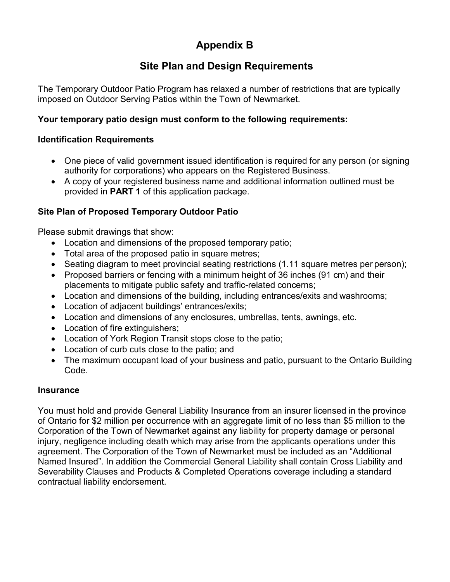# **Appendix B**

## **Site Plan and Design Requirements**

The Temporary Outdoor Patio Program has relaxed a number of restrictions that are typically imposed on Outdoor Serving Patios within the Town of Newmarket.

### **Your temporary patio design must conform to the following requirements:**

#### **Identification Requirements**

- One piece of valid government issued identification is required for any person (or signing authority for corporations) who appears on the Registered Business.
- A copy of your registered business name and additional information outlined must be provided in **PART 1** of this application package.

### **Site Plan of Proposed Temporary Outdoor Patio**

Please submit drawings that show:

- Location and dimensions of the proposed temporary patio;
- Total area of the proposed patio in square metres;
- Seating diagram to meet provincial seating restrictions (1.11 square metres per person);
- Proposed barriers or fencing with a minimum height of 36 inches (91 cm) and their placements to mitigate public safety and traffic-related concerns;
- Location and dimensions of the building, including entrances/exits and washrooms;
- Location of adjacent buildings' entrances/exits;
- Location and dimensions of any enclosures, umbrellas, tents, awnings, etc.
- Location of fire extinguishers;
- Location of York Region Transit stops close to the patio;
- Location of curb cuts close to the patio; and
- The maximum occupant load of your business and patio, pursuant to the Ontario Building Code.

#### **Insurance**

You must hold and provide General Liability Insurance from an insurer licensed in the province of Ontario for \$2 million per occurrence with an aggregate limit of no less than \$5 million to the Corporation of the Town of Newmarket against any liability for property damage or personal injury, negligence including death which may arise from the applicants operations under this agreement. The Corporation of the Town of Newmarket must be included as an "Additional Named Insured". In addition the Commercial General Liability shall contain Cross Liability and Severability Clauses and Products & Completed Operations coverage including a standard contractual liability endorsement.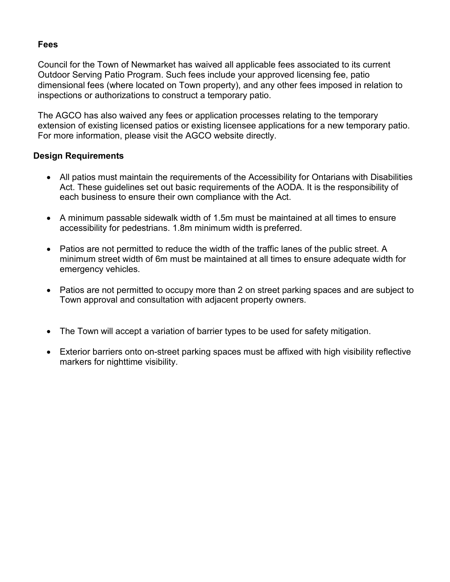### **Fees**

Council for the Town of Newmarket has waived all applicable fees associated to its current Outdoor Serving Patio Program. Such fees include your approved licensing fee, patio dimensional fees (where located on Town property), and any other fees imposed in relation to inspections or authorizations to construct a temporary patio.

The AGCO has also waived any fees or application processes relating to the temporary extension of existing licensed patios or existing licensee applications for a new temporary patio. For more information, please visit the AGCO website directly.

#### **Design Requirements**

- All patios must maintain the requirements of the Accessibility for Ontarians with Disabilities Act. These guidelines set out basic requirements of the AODA. It is the responsibility of each business to ensure their own compliance with the Act.
- A minimum passable sidewalk width of 1.5m must be maintained at all times to ensure accessibility for pedestrians. 1.8m minimum width is preferred.
- Patios are not permitted to reduce the width of the traffic lanes of the public street. A minimum street width of 6m must be maintained at all times to ensure adequate width for emergency vehicles.
- Patios are not permitted to occupy more than 2 on street parking spaces and are subject to Town approval and consultation with adjacent property owners.
- The Town will accept a variation of barrier types to be used for safety mitigation.
- Exterior barriers onto on-street parking spaces must be affixed with high visibility reflective markers for nighttime visibility.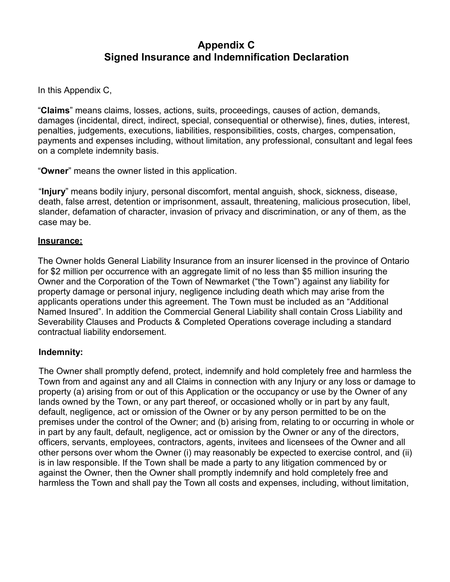### **Appendix C Signed Insurance and Indemnification Declaration**

In this Appendix C,

"**Claims**" means claims, losses, actions, suits, proceedings, causes of action, demands, damages (incidental, direct, indirect, special, consequential or otherwise), fines, duties, interest, penalties, judgements, executions, liabilities, responsibilities, costs, charges, compensation, payments and expenses including, without limitation, any professional, consultant and legal fees on a complete indemnity basis.

"**Owner**" means the owner listed in this application.

"**Injury**" means bodily injury, personal discomfort, mental anguish, shock, sickness, disease, death, false arrest, detention or imprisonment, assault, threatening, malicious prosecution, libel, slander, defamation of character, invasion of privacy and discrimination, or any of them, as the case may be.

#### **Insurance:**

The Owner holds General Liability Insurance from an insurer licensed in the province of Ontario for \$2 million per occurrence with an aggregate limit of no less than \$5 million insuring the Owner and the Corporation of the Town of Newmarket ("the Town") against any liability for property damage or personal injury, negligence including death which may arise from the applicants operations under this agreement. The Town must be included as an "Additional Named Insured". In addition the Commercial General Liability shall contain Cross Liability and Severability Clauses and Products & Completed Operations coverage including a standard contractual liability endorsement.

#### **Indemnity:**

The Owner shall promptly defend, protect, indemnify and hold completely free and harmless the Town from and against any and all Claims in connection with any Injury or any loss or damage to property (a) arising from or out of this Application or the occupancy or use by the Owner of any lands owned by the Town, or any part thereof, or occasioned wholly or in part by any fault, default, negligence, act or omission of the Owner or by any person permitted to be on the premises under the control of the Owner; and (b) arising from, relating to or occurring in whole or in part by any fault, default, negligence, act or omission by the Owner or any of the directors, officers, servants, employees, contractors, agents, invitees and licensees of the Owner and all other persons over whom the Owner (i) may reasonably be expected to exercise control, and (ii) is in law responsible. If the Town shall be made a party to any litigation commenced by or against the Owner, then the Owner shall promptly indemnify and hold completely free and harmless the Town and shall pay the Town all costs and expenses, including, without limitation,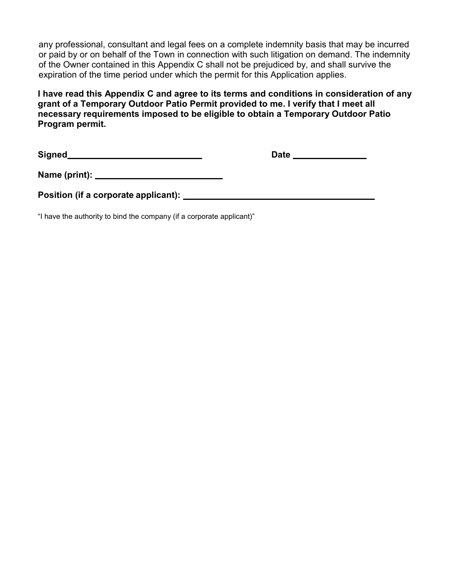any professional, consultant and legal fees on a complete indemnity basis that may be incurred or paid by or on behalf of the Town in connection with such litigation on demand. The indemnity of the Owner contained in this Appendix C shall not be prejudiced by, and shall survive the expiration of the time period under which the permit for this Application applies.

**I have read this Appendix C and agree to its terms and conditions in consideration of any grant of a Temporary Outdoor Patio Permit provided to me. I verify that I meet all necessary requirements imposed to be eligible to obtain a Temporary Outdoor Patio Program permit.**

Signed **Date Date Date Date Date Date Date Date Date Date Date Date Date Date Date Date Date Date Date Date Date Date Date Date Date Date Date D** 

**Name (print):** 

**Position (if a corporate applicant):**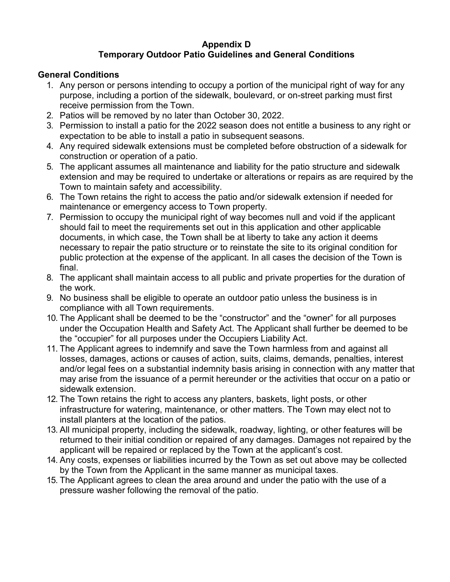#### **Appendix D Temporary Outdoor Patio Guidelines and General Conditions**

### **General Conditions**

- 1. Any person or persons intending to occupy a portion of the municipal right of way for any purpose, including a portion of the sidewalk, boulevard, or on-street parking must first receive permission from the Town.
- 2. Patios will be removed by no later than October 30, 2022.
- 3. Permission to install a patio for the 2022 season does not entitle a business to any right or expectation to be able to install a patio in subsequent seasons.
- 4. Any required sidewalk extensions must be completed before obstruction of a sidewalk for construction or operation of a patio.
- 5. The applicant assumes all maintenance and liability for the patio structure and sidewalk extension and may be required to undertake or alterations or repairs as are required by the Town to maintain safety and accessibility.
- 6. The Town retains the right to access the patio and/or sidewalk extension if needed for maintenance or emergency access to Town property.
- 7. Permission to occupy the municipal right of way becomes null and void if the applicant should fail to meet the requirements set out in this application and other applicable documents, in which case, the Town shall be at liberty to take any action it deems necessary to repair the patio structure or to reinstate the site to its original condition for public protection at the expense of the applicant. In all cases the decision of the Town is final.
- 8. The applicant shall maintain access to all public and private properties for the duration of the work.
- 9. No business shall be eligible to operate an outdoor patio unless the business is in compliance with all Town requirements.
- 10. The Applicant shall be deemed to be the "constructor" and the "owner" for all purposes under the Occupation Health and Safety Act. The Applicant shall further be deemed to be the "occupier" for all purposes under the Occupiers Liability Act.
- 11. The Applicant agrees to indemnify and save the Town harmless from and against all losses, damages, actions or causes of action, suits, claims, demands, penalties, interest and/or legal fees on a substantial indemnity basis arising in connection with any matter that may arise from the issuance of a permit hereunder or the activities that occur on a patio or sidewalk extension.
- 12. The Town retains the right to access any planters, baskets, light posts, or other infrastructure for watering, maintenance, or other matters. The Town may elect not to install planters at the location of the patios.
- 13. All municipal property, including the sidewalk, roadway, lighting, or other features will be returned to their initial condition or repaired of any damages. Damages not repaired by the applicant will be repaired or replaced by the Town at the applicant's cost.
- 14. Any costs, expenses or liabilities incurred by the Town as set out above may be collected by the Town from the Applicant in the same manner as municipal taxes.
- 15. The Applicant agrees to clean the area around and under the patio with the use of a pressure washer following the removal of the patio.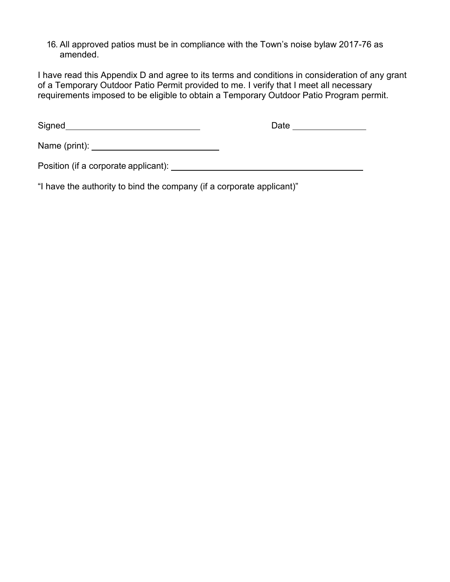16. All approved patios must be in compliance with the Town's noise bylaw 2017-76 as amended.

I have read this Appendix D and agree to its terms and conditions in consideration of any grant of a Temporary Outdoor Patio Permit provided to me. I verify that I meet all necessary requirements imposed to be eligible to obtain a Temporary Outdoor Patio Program permit.

Signed **Date** Date **Date Date Date Date Date Date Date Date Date Date Date Date Date Date Date Date Date Date Date Date Date Date D** 

Name (print):

Position (if a corporate applicant):